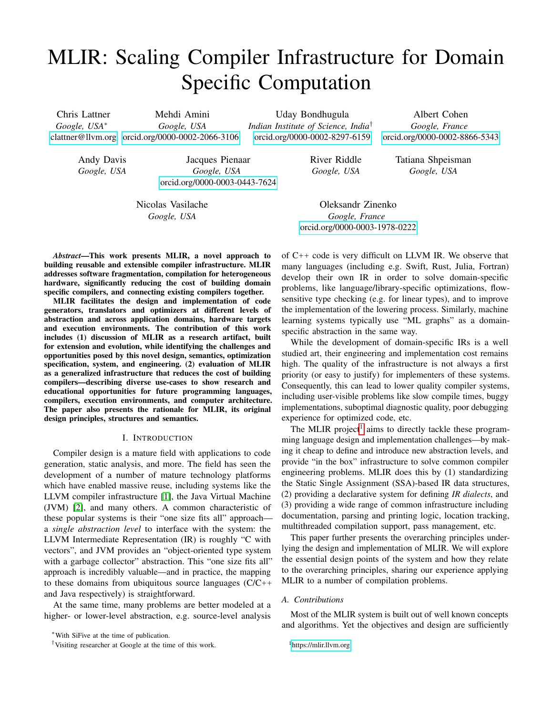# MLIR: Scaling Compiler Infrastructure for Domain Specific Computation

Chris Lattner *Google, USA*<sup>∗</sup> <clattner@llvm.org> [orcid.org/0000-0002-2066-3106](https://orcid.org/0000-0002-2066-3106) Mehdi Amini *Google, USA*

Uday Bondhugula *Indian Institute of Science, India*† [orcid.org/0000-0002-8297-6159](https://orcid.org/0000-0002-8297-6159)

Albert Cohen *Google, France* [orcid.org/0000-0002-8866-5343](https://orcid.org/0000-0002-8866-5343)

> Tatiana Shpeisman *Google, USA*

Andy Davis *Google, USA*

Jacques Pienaar *Google, USA* [orcid.org/0000-0003-0443-7624](https://orcid.org/0000-0003-0443-7624)

Nicolas Vasilache *Google, USA*

Oleksandr Zinenko *Google, France* [orcid.org/0000-0003-1978-0222](https://orcid.org/0000-0003-1978-0222)

River Riddle *Google, USA*

*Abstract*—This work presents MLIR, a novel approach to building reusable and extensible compiler infrastructure. MLIR addresses software fragmentation, compilation for heterogeneous hardware, significantly reducing the cost of building domain specific compilers, and connecting existing compilers together.

MLIR facilitates the design and implementation of code generators, translators and optimizers at different levels of abstraction and across application domains, hardware targets and execution environments. The contribution of this work includes (1) discussion of MLIR as a research artifact, built for extension and evolution, while identifying the challenges and opportunities posed by this novel design, semantics, optimization specification, system, and engineering. (2) evaluation of MLIR as a generalized infrastructure that reduces the cost of building compilers—describing diverse use-cases to show research and educational opportunities for future programming languages, compilers, execution environments, and computer architecture. The paper also presents the rationale for MLIR, its original design principles, structures and semantics.

## I. INTRODUCTION

Compiler design is a mature field with applications to code generation, static analysis, and more. The field has seen the development of a number of mature technology platforms which have enabled massive reuse, including systems like the LLVM compiler infrastructure [\[1\]](#page-10-0), the Java Virtual Machine (JVM) [\[2\]](#page-10-1), and many others. A common characteristic of these popular systems is their "one size fits all" approach a *single abstraction level* to interface with the system: the LLVM Intermediate Representation (IR) is roughly "C with vectors", and JVM provides an "object-oriented type system with a garbage collector" abstraction. This "one size fits all" approach is incredibly valuable—and in practice, the mapping to these domains from ubiquitous source languages  $(C/C++$ and Java respectively) is straightforward.

At the same time, many problems are better modeled at a higher- or lower-level abstraction, e.g. source-level analysis of C++ code is very difficult on LLVM IR. We observe that many languages (including e.g. Swift, Rust, Julia, Fortran) develop their own IR in order to solve domain-specific problems, like language/library-specific optimizations, flowsensitive type checking (e.g. for linear types), and to improve the implementation of the lowering process. Similarly, machine learning systems typically use "ML graphs" as a domainspecific abstraction in the same way.

While the development of domain-specific IRs is a well studied art, their engineering and implementation cost remains high. The quality of the infrastructure is not always a first priority (or easy to justify) for implementers of these systems. Consequently, this can lead to lower quality compiler systems, including user-visible problems like slow compile times, buggy implementations, suboptimal diagnostic quality, poor debugging experience for optimized code, etc.

The MLIR project<sup>[1](#page-0-0)</sup> aims to directly tackle these programming language design and implementation challenges—by making it cheap to define and introduce new abstraction levels, and provide "in the box" infrastructure to solve common compiler engineering problems. MLIR does this by (1) standardizing the Static Single Assignment (SSA)-based IR data structures, (2) providing a declarative system for defining *IR dialects*, and (3) providing a wide range of common infrastructure including documentation, parsing and printing logic, location tracking, multithreaded compilation support, pass management, etc.

This paper further presents the overarching principles underlying the design and implementation of MLIR. We will explore the essential design points of the system and how they relate to the overarching principles, sharing our experience applying MLIR to a number of compilation problems.

## *A. Contributions*

Most of the MLIR system is built out of well known concepts and algorithms. Yet the objectives and design are sufficiently

<sup>∗</sup>With SiFive at the time of publication.

<sup>†</sup>Visiting researcher at Google at the time of this work.

<span id="page-0-0"></span><sup>1</sup><https://mlir.llvm.org>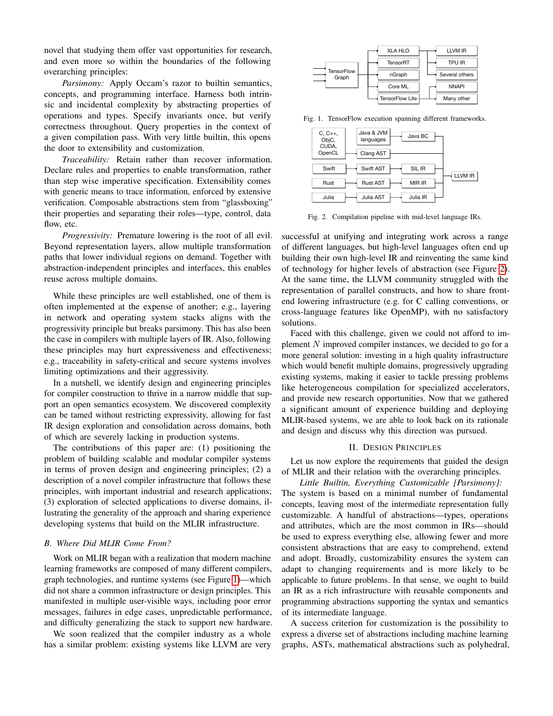novel that studying them offer vast opportunities for research, and even more so within the boundaries of the following overarching principles:

*Parsimony:* Apply Occam's razor to builtin semantics, concepts, and programming interface. Harness both intrinsic and incidental complexity by abstracting properties of operations and types. Specify invariants once, but verify correctness throughout. Query properties in the context of a given compilation pass. With very little builtin, this opens the door to extensibility and customization.

*Traceability:* Retain rather than recover information. Declare rules and properties to enable transformation, rather than step wise imperative specification. Extensibility comes with generic means to trace information, enforced by extensive verification. Composable abstractions stem from "glassboxing" their properties and separating their roles—type, control, data flow, etc.

*Progressivity:* Premature lowering is the root of all evil. Beyond representation layers, allow multiple transformation paths that lower individual regions on demand. Together with abstraction-independent principles and interfaces, this enables reuse across multiple domains.

While these principles are well established, one of them is often implemented at the expense of another; e.g., layering in network and operating system stacks aligns with the progressivity principle but breaks parsimony. This has also been the case in compilers with multiple layers of IR. Also, following these principles may hurt expressiveness and effectiveness; e.g., traceability in safety-critical and secure systems involves limiting optimizations and their aggressivity.

In a nutshell, we identify design and engineering principles for compiler construction to thrive in a narrow middle that support an open semantics ecosystem. We discovered complexity can be tamed without restricting expressivity, allowing for fast IR design exploration and consolidation across domains, both of which are severely lacking in production systems.

The contributions of this paper are: (1) positioning the problem of building scalable and modular compiler systems in terms of proven design and engineering principles; (2) a description of a novel compiler infrastructure that follows these principles, with important industrial and research applications; (3) exploration of selected applications to diverse domains, illustrating the generality of the approach and sharing experience developing systems that build on the MLIR infrastructure.

# *B. Where Did MLIR Come From?*

Work on MLIR began with a realization that modern machine learning frameworks are composed of many different compilers, graph technologies, and runtime systems (see Figure [1\)](#page-1-0)—which did not share a common infrastructure or design principles. This manifested in multiple user-visible ways, including poor error messages, failures in edge cases, unpredictable performance, and difficulty generalizing the stack to support new hardware.

We soon realized that the compiler industry as a whole has a similar problem: existing systems like LLVM are very



Fig. 1. TensorFlow execution spanning different frameworks.

<span id="page-1-0"></span>

<span id="page-1-1"></span>Fig. 2. Compilation pipeline with mid-level language IRs.

successful at unifying and integrating work across a range of different languages, but high-level languages often end up building their own high-level IR and reinventing the same kind of technology for higher levels of abstraction (see Figure [2\)](#page-1-1). At the same time, the LLVM community struggled with the representation of parallel constructs, and how to share frontend lowering infrastructure (e.g. for C calling conventions, or cross-language features like OpenMP), with no satisfactory solutions.

Faced with this challenge, given we could not afford to implement  $N$  improved compiler instances, we decided to go for a more general solution: investing in a high quality infrastructure which would benefit multiple domains, progressively upgrading existing systems, making it easier to tackle pressing problems like heterogeneous compilation for specialized accelerators, and provide new research opportunities. Now that we gathered a significant amount of experience building and deploying MLIR-based systems, we are able to look back on its rationale and design and discuss why this direction was pursued.

## II. DESIGN PRINCIPLES

<span id="page-1-2"></span>Let us now explore the requirements that guided the design of MLIR and their relation with the overarching principles.

*Little Builtin, Everything Customizable [Parsimony]:* The system is based on a minimal number of fundamental concepts, leaving most of the intermediate representation fully customizable. A handful of abstractions—types, operations and attributes, which are the most common in IRs—should be used to express everything else, allowing fewer and more consistent abstractions that are easy to comprehend, extend and adopt. Broadly, customizability ensures the system can adapt to changing requirements and is more likely to be applicable to future problems. In that sense, we ought to build an IR as a rich infrastructure with reusable components and programming abstractions supporting the syntax and semantics of its intermediate language.

A success criterion for customization is the possibility to express a diverse set of abstractions including machine learning graphs, ASTs, mathematical abstractions such as polyhedral,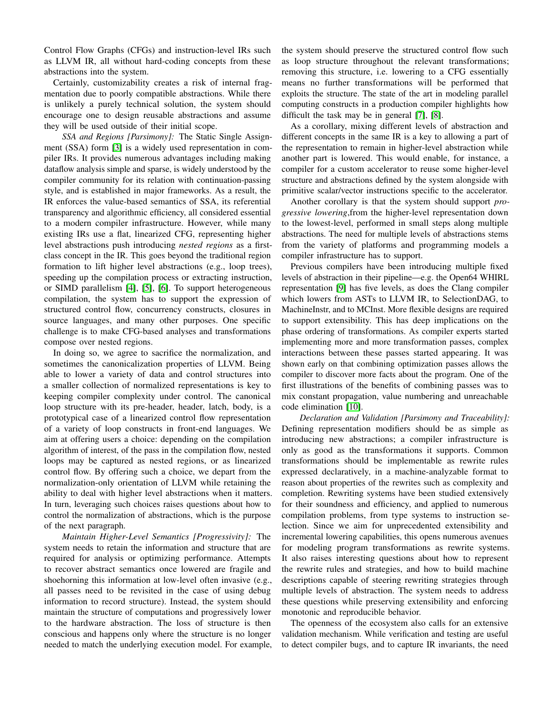Control Flow Graphs (CFGs) and instruction-level IRs such as LLVM IR, all without hard-coding concepts from these abstractions into the system.

Certainly, customizability creates a risk of internal fragmentation due to poorly compatible abstractions. While there is unlikely a purely technical solution, the system should encourage one to design reusable abstractions and assume they will be used outside of their initial scope.

*SSA and Regions [Parsimony]:* The Static Single Assignment (SSA) form [\[3\]](#page-10-2) is a widely used representation in compiler IRs. It provides numerous advantages including making dataflow analysis simple and sparse, is widely understood by the compiler community for its relation with continuation-passing style, and is established in major frameworks. As a result, the IR enforces the value-based semantics of SSA, its referential transparency and algorithmic efficiency, all considered essential to a modern compiler infrastructure. However, while many existing IRs use a flat, linearized CFG, representing higher level abstractions push introducing *nested regions* as a firstclass concept in the IR. This goes beyond the traditional region formation to lift higher level abstractions (e.g., loop trees), speeding up the compilation process or extracting instruction, or SIMD parallelism [\[4\]](#page-10-3), [\[5\]](#page-10-4), [\[6\]](#page-10-5). To support heterogeneous compilation, the system has to support the expression of structured control flow, concurrency constructs, closures in source languages, and many other purposes. One specific challenge is to make CFG-based analyses and transformations compose over nested regions.

In doing so, we agree to sacrifice the normalization, and sometimes the canonicalization properties of LLVM. Being able to lower a variety of data and control structures into a smaller collection of normalized representations is key to keeping compiler complexity under control. The canonical loop structure with its pre-header, header, latch, body, is a prototypical case of a linearized control flow representation of a variety of loop constructs in front-end languages. We aim at offering users a choice: depending on the compilation algorithm of interest, of the pass in the compilation flow, nested loops may be captured as nested regions, or as linearized control flow. By offering such a choice, we depart from the normalization-only orientation of LLVM while retaining the ability to deal with higher level abstractions when it matters. In turn, leveraging such choices raises questions about how to control the normalization of abstractions, which is the purpose of the next paragraph.

*Maintain Higher-Level Semantics [Progressivity]:* The system needs to retain the information and structure that are required for analysis or optimizing performance. Attempts to recover abstract semantics once lowered are fragile and shoehorning this information at low-level often invasive (e.g., all passes need to be revisited in the case of using debug information to record structure). Instead, the system should maintain the structure of computations and progressively lower to the hardware abstraction. The loss of structure is then conscious and happens only where the structure is no longer needed to match the underlying execution model. For example,

the system should preserve the structured control flow such as loop structure throughout the relevant transformations; removing this structure, i.e. lowering to a CFG essentially means no further transformations will be performed that exploits the structure. The state of the art in modeling parallel computing constructs in a production compiler highlights how difficult the task may be in general [\[7\]](#page-11-0), [\[8\]](#page-11-1).

As a corollary, mixing different levels of abstraction and different concepts in the same IR is a key to allowing a part of the representation to remain in higher-level abstraction while another part is lowered. This would enable, for instance, a compiler for a custom accelerator to reuse some higher-level structure and abstractions defined by the system alongside with primitive scalar/vector instructions specific to the accelerator.

Another corollary is that the system should support *progressive lowering*,from the higher-level representation down to the lowest-level, performed in small steps along multiple abstractions. The need for multiple levels of abstractions stems from the variety of platforms and programming models a compiler infrastructure has to support.

Previous compilers have been introducing multiple fixed levels of abstraction in their pipeline—e.g. the Open64 WHIRL representation [\[9\]](#page-11-2) has five levels, as does the Clang compiler which lowers from ASTs to LLVM IR, to SelectionDAG, to MachineInstr, and to MCInst. More flexible designs are required to support extensibility. This has deep implications on the phase ordering of transformations. As compiler experts started implementing more and more transformation passes, complex interactions between these passes started appearing. It was shown early on that combining optimization passes allows the compiler to discover more facts about the program. One of the first illustrations of the benefits of combining passes was to mix constant propagation, value numbering and unreachable code elimination [\[10\]](#page-11-3).

*Declaration and Validation [Parsimony and Traceability]:* Defining representation modifiers should be as simple as introducing new abstractions; a compiler infrastructure is only as good as the transformations it supports. Common transformations should be implementable as rewrite rules expressed declaratively, in a machine-analyzable format to reason about properties of the rewrites such as complexity and completion. Rewriting systems have been studied extensively for their soundness and efficiency, and applied to numerous compilation problems, from type systems to instruction selection. Since we aim for unprecedented extensibility and incremental lowering capabilities, this opens numerous avenues for modeling program transformations as rewrite systems. It also raises interesting questions about how to represent the rewrite rules and strategies, and how to build machine descriptions capable of steering rewriting strategies through multiple levels of abstraction. The system needs to address these questions while preserving extensibility and enforcing monotonic and reproducible behavior.

The openness of the ecosystem also calls for an extensive validation mechanism. While verification and testing are useful to detect compiler bugs, and to capture IR invariants, the need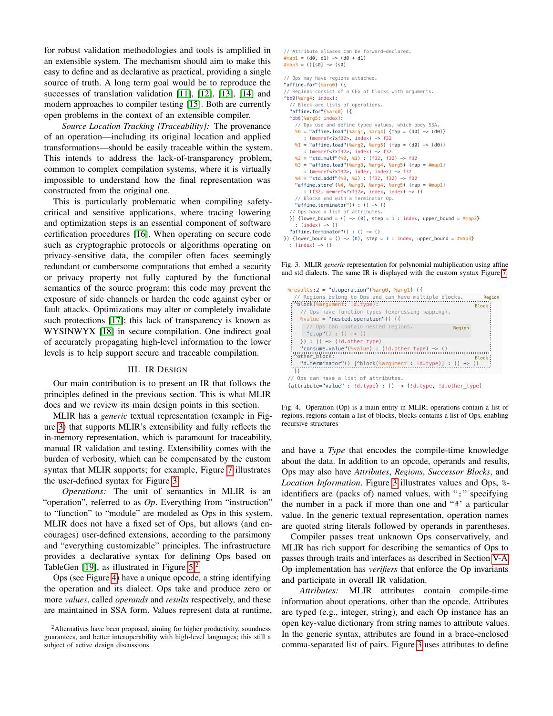for robust validation methodologies and tools is amplified in an extensible system. The mechanism should aim to make this easy to define and as declarative as practical, providing a single source of truth. A long term goal would be to reproduce the successes of translation validation [\[11\]](#page-11-4), [\[12\]](#page-11-5), [\[13\]](#page-11-6), [\[14\]](#page-11-7) and modern approaches to compiler testing [\[15\]](#page-11-8). Both are currently open problems in the context of an extensible compiler.

*Source Location Tracking [Traceability]:* The provenance of an operation—including its original location and applied transformations—should be easily traceable within the system. This intends to address the lack-of-transparency problem, common to complex compilation systems, where it is virtually impossible to understand how the final representation was constructed from the original one.

This is particularly problematic when compiling safetycritical and sensitive applications, where tracing lowering and optimization steps is an essential component of software certification procedures [\[16\]](#page-11-9). When operating on secure code such as cryptographic protocols or algorithms operating on privacy-sensitive data, the compiler often faces seemingly redundant or cumbersome computations that embed a security or privacy property not fully captured by the functional semantics of the source program: this code may prevent the exposure of side channels or harden the code against cyber or fault attacks. Optimizations may alter or completely invalidate such protections [\[17\]](#page-11-10); this lack of transparency is known as WYSINWYX [\[18\]](#page-11-11) in secure compilation. One indirect goal of accurately propagating high-level information to the lower levels is to help support secure and traceable compilation.

#### III. IR DESIGN

Our main contribution is to present an IR that follows the principles defined in the previous section. This is what MLIR does and we review its main design points in this section.

MLIR has a *generic* textual representation (example in Figure [3\)](#page-3-0) that supports MLIR's extensibility and fully reflects the in-memory representation, which is paramount for traceability, manual IR validation and testing. Extensibility comes with the burden of verbosity, which can be compensated by the custom syntax that MLIR supports; for example, Figure [7](#page-6-0) illustrates the user-defined syntax for Figure [3.](#page-3-0)

*Operations:* The unit of semantics in MLIR is an "operation", referred to as *Op*. Everything from "instruction" to "function" to "module" are modeled as Ops in this system. MLIR does not have a fixed set of Ops, but allows (and encourages) user-defined extensions, according to the parsimony and "everything customizable" principles. The infrastructure provides a declarative syntax for defining Ops based on TableGen [\[19\]](#page-11-12), as illustrated in Figure  $5<sup>2</sup>$  $5<sup>2</sup>$  $5<sup>2</sup>$ 

Ops (see Figure [4\)](#page-3-2) have a unique opcode, a string identifying the operation and its dialect. Ops take and produce zero or more *values*, called *operands* and *results* respectively, and these are maintained in SSA form. Values represent data at runtime,

```
// Attribute aliases can be forward–declared.<br>#map1 = (d0, d1) -> (d0 + d1)
\# \text{map3} = () [s0] \Rightarrow (s0)
// Ops may have regions attached.
"affine.for"(%arg0) ({
// Regions consist of a CFG of blocks with arguments.
^{\text{b6}}(%arq4: index):
   // Block are lists of operations.
   "affine.for"(%arg0) ({
   ^bb0(%arg5: index):
     // Ops use and define typed values, which obey SSA.
    \%0 = "affine.load"(\%arg1, \%arg4) {map = (d0) -> (d0)}
        : (memref<?xf32>, index) -> f32
    %1 = "affine.load"(%arg2, %arg5) {map = (d0) -> (d0)}
        : (memref<?xf32>, index) -> f32
     %2 = "std.mulf"(%0, %1) : (f32, f32) -> f32
    %3 = "affine.load"(%arg3, %arg4, %arg5) {map = #map1}
        : (memref<?xf32>, index, index) -> f32
     %4 = "std.addf"(%3, %2) : (f32, f32) -> f32
     "affine.store"(%4, %arg3, %arg4, %arg5) {map = #map1}
        : (f32, memref<?xf32>, index, index) -> ()
     // Blocks end with a terminator Op.
     "affine.terminator"() : () -> ()
   // Ops have a list of attributes.
  }) {lower_bound = () -> (0), step = 1 : index, upper_bound = \#map3}
    : (index) \rightarrow () "affine.terminator"() : () -> ()
```
}) {lower\_bound = () -> (0), step = 1 : index, upper\_bound =  $\#map3$ }

```
 : (index) -> ()
```
<span id="page-3-0"></span>Fig. 3. MLIR *generic* representation for polynomial multiplication using affine and std dialects. The same IR is displayed with the custom syntax Figure [7.](#page-6-0)

| %results:2 = "d.operation"(%arg0, %arg1) $($                                              |              |
|-------------------------------------------------------------------------------------------|--------------|
| // Regions belong to Ops and can have multiple blocks.                                    | Region       |
| : ^block(%arqument: !d.type):                                                             | Block:       |
| // Ops have function types (expressing mapping).                                          |              |
| $\text{value} = \text{''nested. operation}$ "() ({                                        |              |
| // Ops can contain nested regions.<br>Region                                              |              |
| "d.op"() : () $\rightarrow$ ()                                                            |              |
| $\})$ : () $\rightarrow$ (!d.other type)                                                  |              |
| "consume.value"(%value) : $(id{o}t)$ : $()$                                               |              |
| . ^other block:                                                                           | <b>Block</b> |
| "d.terminator"() $[\text{*block}(\text{*argument} : !d.\text{type})] : () \rightarrow ()$ |              |
| $\downarrow$ )                                                                            |              |
| Ops can have a list of attributes.                                                        |              |

{attribute="value" : !d.type} : () -> (!d.type, !d.other\_type)

<span id="page-3-2"></span>Fig. 4. Operation (Op) is a main entity in MLIR; operations contain a list of regions, regions contain a list of blocks, blocks contains a list of Ops, enabling recursive structures

and have a *Type* that encodes the compile-time knowledge about the data. In addition to an opcode, operands and results, Ops may also have *Attributes*, *Regions*, *Successor Blocks*, and *Location Information*. Figure [3](#page-3-0) illustrates values and Ops, % identifiers are (packs of) named values, with ":" specifying the number in a pack if more than one and "#' a particular value. In the generic textual representation, operation names are quoted string literals followed by operands in parentheses.

Compiler passes treat unknown Ops conservatively, and MLIR has rich support for describing the semantics of Ops to passes through traits and interfaces as described in Section [V-A.](#page-7-0) Op implementation has *verifiers* that enforce the Op invariants and participate in overall IR validation.

<span id="page-3-3"></span>*Attributes:* MLIR attributes contain compile-time information about operations, other than the opcode. Attributes are typed (e.g., integer, string), and each Op instance has an open key-value dictionary from string names to attribute values. In the generic syntax, attributes are found in a brace-enclosed comma-separated list of pairs. Figure [3](#page-3-0) uses attributes to define

<span id="page-3-1"></span><sup>&</sup>lt;sup>2</sup>Alternatives have been proposed, aiming for higher productivity, soundness guarantees, and better interoperability with high-level languages; this still a subject of active design discussions.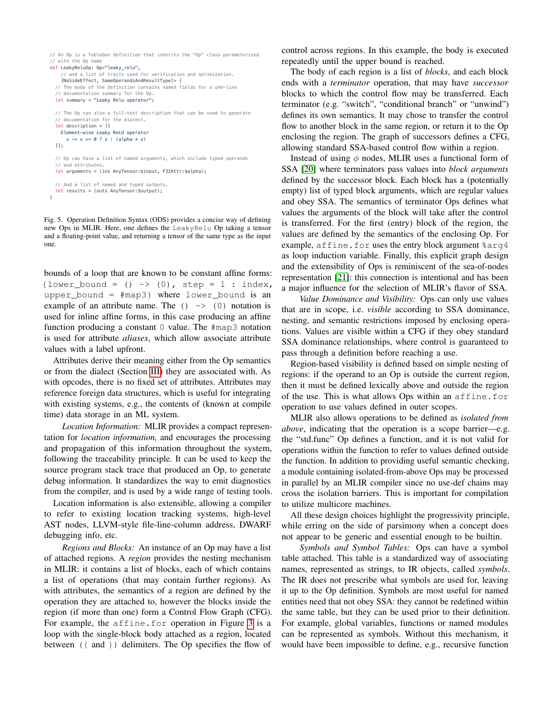```
// An Op is a TableGen definition that inherits the "Op" class parameterized
// with the Op name
def LeakyReluOp: Op<"leaky_relu",
     // and a list of traits used for verification and optimization.
     [NoSideEffect, SameOperandsAndResultType]> {
   // The body of the definition contains named fields for a one-line
   // documentation summary for the Op.
  let summary = "Leaky Relu operator"
   // The Op can also a full-text description that can be used to generate
   // documentation for the dialect.
   let description = [{
    Element-wise Leaky ReLU operator
      x \rightarrow x \succ = 0 ? x : (alpha \leftrightarrow x) }];
   // Op can have a list of named arguments, which include typed operands
   // and attributes.
   let arguments = (ins AnyTensor:$input, F32Attr:$alpha);
   // And a list of named and typed outputs.
   let results = (outs AnyTensor:$output);
}
```
<span id="page-4-0"></span>Fig. 5. Operation Definition Syntax (ODS) provides a concise way of defining new Ops in MLIR. Here, one defines the LeakyRelu Op taking a tensor and a floating-point value, and returning a tensor of the same type as the input one.

bounds of a loop that are known to be constant affine forms: {lower\_bound =  $() \rightarrow (0)$ , step = 1 : index, upper\_bound = #map3} where lower\_bound is an example of an attribute name. The  $( ) \rightarrow ( 0 )$  notation is used for inline affine forms, in this case producing an affine function producing a constant 0 value. The #map3 notation is used for attribute *aliases*, which allow associate attribute values with a label upfront.

Attributes derive their meaning either from the Op semantics or from the dialect (Section [III\)](#page-5-0) they are associated with. As with opcodes, there is no fixed set of attributes. Attributes may reference foreign data structures, which is useful for integrating with existing systems, e.g., the contents of (known at compile time) data storage in an ML system.

*Location Information:* MLIR provides a compact representation for *location information,* and encourages the processing and propagation of this information throughout the system, following the traceability principle. It can be used to keep the source program stack trace that produced an Op, to generate debug information. It standardizes the way to emit diagnostics from the compiler, and is used by a wide range of testing tools.

Location information is also extensible, allowing a compiler to refer to existing location tracking systems, high-level AST nodes, LLVM-style file-line-column address, DWARF debugging info, etc.

*Regions and Blocks:* An instance of an Op may have a list of attached regions. A *region* provides the nesting mechanism in MLIR: it contains a list of blocks, each of which contains a list of operations (that may contain further regions). As with attributes, the semantics of a region are defined by the operation they are attached to, however the blocks inside the region (if more than one) form a Control Flow Graph (CFG). For example, the affine.for operation in Figure [3](#page-3-0) is a loop with the single-block body attached as a region, located between ({ and }) delimiters. The Op specifies the flow of

control across regions. In this example, the body is executed repeatedly until the upper bound is reached.

The body of each region is a list of *blocks*, and each block ends with a *terminator* operation, that may have *successor* blocks to which the control flow may be transferred. Each terminator (e.g. "switch", "conditional branch" or "unwind") defines its own semantics. It may chose to transfer the control flow to another block in the same region, or return it to the Op enclosing the region. The graph of successors defines a CFG, allowing standard SSA-based control flow within a region.

Instead of using  $\phi$  nodes, MLIR uses a functional form of SSA [\[20\]](#page-11-13) where terminators pass values into *block arguments* defined by the successor block. Each block has a (potentially empty) list of typed block arguments, which are regular values and obey SSA. The semantics of terminator Ops defines what values the arguments of the block will take after the control is transferred. For the first (entry) block of the region, the values are defined by the semantics of the enclosing Op. For example, affine.for uses the entry block argument  $\epsilon$ arg4 as loop induction variable. Finally, this explicit graph design and the extensibility of Ops is reminiscent of the sea-of-nodes representation [\[21\]](#page-11-14): this connection is intentional and has been a major influence for the selection of MLIR's flavor of SSA.

*Value Dominance and Visibility:* Ops can only use values that are in scope, i.e. *visible* according to SSA dominance, nesting, and semantic restrictions imposed by enclosing operations. Values are visible within a CFG if they obey standard SSA dominance relationships, where control is guaranteed to pass through a definition before reaching a use.

Region-based visibility is defined based on simple nesting of regions: if the operand to an Op is outside the current region, then it must be defined lexically above and outside the region of the use. This is what allows Ops within an affine.for operation to use values defined in outer scopes.

MLIR also allows operations to be defined as *isolated from above*, indicating that the operation is a scope barrier—e.g. the "std.func" Op defines a function, and it is not valid for operations within the function to refer to values defined outside the function. In addition to providing useful semantic checking, a module containing isolated-from-above Ops may be processed in parallel by an MLIR compiler since no use-def chains may cross the isolation barriers. This is important for compilation to utilize multicore machines.

All these design choices highlight the progressivity principle, while erring on the side of parsimony when a concept does not appear to be generic and essential enough to be builtin.

<span id="page-4-1"></span>*Symbols and Symbol Tables:* Ops can have a symbol table attached. This table is a standardized way of associating names, represented as strings, to IR objects, called *symbols*. The IR does not prescribe what symbols are used for, leaving it up to the Op definition. Symbols are most useful for named entities need that not obey SSA: they cannot be redefined within the same table, but they can be used prior to their definition. For example, global variables, functions or named modules can be represented as symbols. Without this mechanism, it would have been impossible to define, e.g., recursive function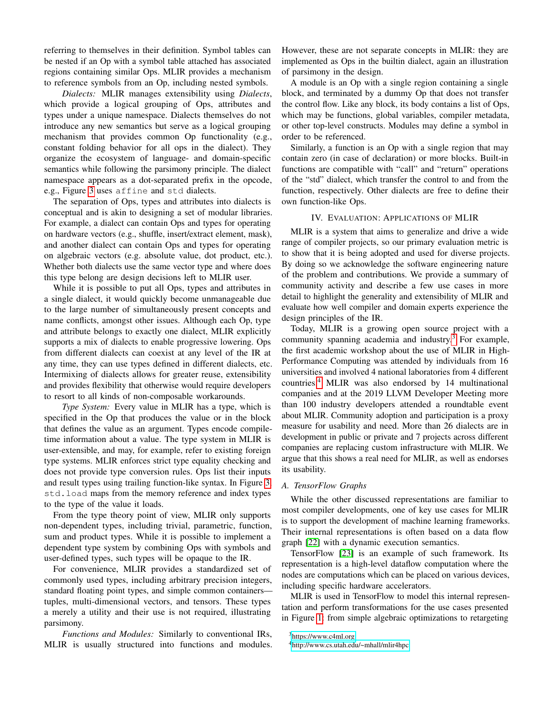referring to themselves in their definition. Symbol tables can be nested if an Op with a symbol table attached has associated regions containing similar Ops. MLIR provides a mechanism to reference symbols from an Op, including nested symbols.

<span id="page-5-0"></span>*Dialects:* MLIR manages extensibility using *Dialects*, which provide a logical grouping of Ops, attributes and types under a unique namespace. Dialects themselves do not introduce any new semantics but serve as a logical grouping mechanism that provides common Op functionality (e.g., constant folding behavior for all ops in the dialect). They organize the ecosystem of language- and domain-specific semantics while following the parsimony principle. The dialect namespace appears as a dot-separated prefix in the opcode, e.g., Figure [3](#page-3-0) uses affine and std dialects.

The separation of Ops, types and attributes into dialects is conceptual and is akin to designing a set of modular libraries. For example, a dialect can contain Ops and types for operating on hardware vectors (e.g., shuffle, insert/extract element, mask), and another dialect can contain Ops and types for operating on algebraic vectors (e.g. absolute value, dot product, etc.). Whether both dialects use the same vector type and where does this type belong are design decisions left to MLIR user.

While it is possible to put all Ops, types and attributes in a single dialect, it would quickly become unmanageable due to the large number of simultaneously present concepts and name conflicts, amongst other issues. Although each Op, type and attribute belongs to exactly one dialect, MLIR explicitly supports a mix of dialects to enable progressive lowering. Ops from different dialects can coexist at any level of the IR at any time, they can use types defined in different dialects, etc. Intermixing of dialects allows for greater reuse, extensibility and provides flexibility that otherwise would require developers to resort to all kinds of non-composable workarounds.

*Type System:* Every value in MLIR has a type, which is specified in the Op that produces the value or in the block that defines the value as an argument. Types encode compiletime information about a value. The type system in MLIR is user-extensible, and may, for example, refer to existing foreign type systems. MLIR enforces strict type equality checking and does not provide type conversion rules. Ops list their inputs and result types using trailing function-like syntax. In Figure [3,](#page-3-0) std.load maps from the memory reference and index types to the type of the value it loads.

From the type theory point of view, MLIR only supports non-dependent types, including trivial, parametric, function, sum and product types. While it is possible to implement a dependent type system by combining Ops with symbols and user-defined types, such types will be opaque to the IR.

For convenience, MLIR provides a standardized set of commonly used types, including arbitrary precision integers, standard floating point types, and simple common containers tuples, multi-dimensional vectors, and tensors. These types a merely a utility and their use is not required, illustrating parsimony.

*Functions and Modules:* Similarly to conventional IRs, MLIR is usually structured into functions and modules. However, these are not separate concepts in MLIR: they are implemented as Ops in the builtin dialect, again an illustration of parsimony in the design.

A module is an Op with a single region containing a single block, and terminated by a dummy Op that does not transfer the control flow. Like any block, its body contains a list of Ops, which may be functions, global variables, compiler metadata, or other top-level constructs. Modules may define a symbol in order to be referenced.

Similarly, a function is an Op with a single region that may contain zero (in case of declaration) or more blocks. Built-in functions are compatible with "call" and "return" operations of the "std" dialect, which transfer the control to and from the function, respectively. Other dialects are free to define their own function-like Ops.

# IV. EVALUATION: APPLICATIONS OF MLIR

MLIR is a system that aims to generalize and drive a wide range of compiler projects, so our primary evaluation metric is to show that it is being adopted and used for diverse projects. By doing so we acknowledge the software engineering nature of the problem and contributions. We provide a summary of community activity and describe a few use cases in more detail to highlight the generality and extensibility of MLIR and evaluate how well compiler and domain experts experience the design principles of the IR.

Today, MLIR is a growing open source project with a community spanning academia and industry.[3](#page-5-1) For example, the first academic workshop about the use of MLIR in High-Performance Computing was attended by individuals from 16 universities and involved 4 national laboratories from 4 different countries.[4](#page-5-2) MLIR was also endorsed by 14 multinational companies and at the 2019 LLVM Developer Meeting more than 100 industry developers attended a roundtable event about MLIR. Community adoption and participation is a proxy measure for usability and need. More than 26 dialects are in development in public or private and 7 projects across different companies are replacing custom infrastructure with MLIR. We argue that this shows a real need for MLIR, as well as endorses its usability.

## *A. TensorFlow Graphs*

While the other discussed representations are familiar to most compiler developments, one of key use cases for MLIR is to support the development of machine learning frameworks. Their internal representations is often based on a data flow graph [\[22\]](#page-11-15) with a dynamic execution semantics.

TensorFlow [\[23\]](#page-11-16) is an example of such framework. Its representation is a high-level dataflow computation where the nodes are computations which can be placed on various devices, including specific hardware accelerators.

MLIR is used in TensorFlow to model this internal representation and perform transformations for the use cases presented in Figure [1:](#page-1-0) from simple algebraic optimizations to retargeting

<span id="page-5-1"></span><sup>3</sup>[https://www.c4ml.org.](https://www.c4ml.org)

<span id="page-5-2"></span><sup>4</sup>[http://www.cs.utah.edu/~mhall/mlir4hpc.](http://www.cs.utah.edu/~mhall/mlir4hpc)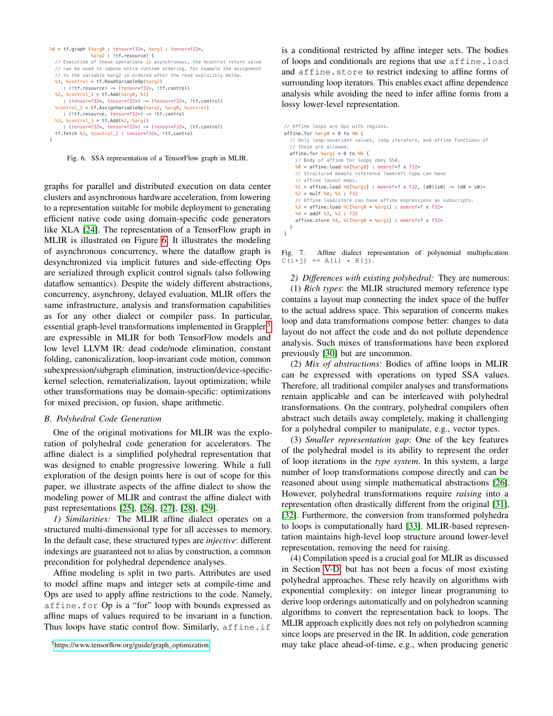```
%0 = tf.graph (%arg0 : tensor<f32>, %arg1 : tensor<f32>,
                 %arg2 : !tf.resource) {
   // Execution of these operations is asynchronous, the %control return value
 // can be used to impose extra runtime ordering, for example the assignment
 // to the variable %arg2 is ordered after the read explicitly below.
   %1, %control = tf.ReadVariableOp(%arg2)
      : (!tf.resource) -> (tensor<f32>, !tf.control)
   %2, %control_1 = tf.Add(%arg0, %1)
      : (tensor<f32>, tensor<f32>) -> (tensor<f32>, !tf.control)
   %control_2 = tf.AssignVariableOp(%arg2, %arg0, %control)
      : (!tf.resource, tensor<f32>) -> !tf.control
  %3, %control 3 = tfAdd(%2, %arg1) : (tensor<f32>, tensor<f32>) -> (tensor<f32>, !tf.control)
   tf.fetch %3, %control_2 : tensor<f32>, !tf.control
\overline{ }
```
<span id="page-6-1"></span>Fig. 6. SSA representation of a TensorFlow graph in MLIR.

graphs for parallel and distributed execution on data center clusters and asynchronous hardware acceleration, from lowering to a representation suitable for mobile deployment to generating efficient native code using domain-specific code generators like XLA [\[24\]](#page-11-17). The representation of a TensorFlow graph in MLIR is illustrated on Figure [6.](#page-6-1) It illustrates the modeling of asynchronous concurrency, where the dataflow graph is desynchronized via implicit futures and side-effecting Ops are serialized through explicit control signals (also following dataflow semantics). Despite the widely different abstractions, concurrency, asynchrony, delayed evaluation, MLIR offers the same infrastructure, analysis and transformation capabilities as for any other dialect or compiler pass. In particular, essential graph-level transformations implemented in Grappler<sup>[5](#page-6-2)</sup> are expressible in MLIR for both TensorFlow models and low level LLVM IR: dead code/node elimination, constant folding, canonicalization, loop-invariant code motion, common subexpression/subgraph elimination, instruction/device-specifickernel selection, rematerialization, layout optimization; while other transformations may be domain-specific: optimizations for mixed precision, op fusion, shape arithmetic.

#### <span id="page-6-3"></span>*B. Polyhedral Code Generation*

One of the original motivations for MLIR was the exploration of polyhedral code generation for accelerators. The affine dialect is a simplified polyhedral representation that was designed to enable progressive lowering. While a full exploration of the design points here is out of scope for this paper, we illustrate aspects of the affine dialect to show the modeling power of MLIR and contrast the affine dialect with past representations [\[25\]](#page-11-18), [\[26\]](#page-11-19), [\[27\]](#page-11-20), [\[28\]](#page-11-21), [\[29\]](#page-11-22).

*1) Similarities:* The MLIR affine dialect operates on a structured multi-dimensional type for all accesses to memory. In the default case, these structured types are *injective*: different indexings are guaranteed not to alias by construction, a common precondition for polyhedral dependence analyses.

Affine modeling is split in two parts. Attributes are used to model affine maps and integer sets at compile-time and Ops are used to apply affine restrictions to the code. Namely, affine.for Op is a "for" loop with bounds expressed as affine maps of values required to be invariant in a function. Thus loops have static control flow. Similarly, affine.if

```
5https://www.tensorflow.org/guide/graph_optimization
```
is a conditional restricted by affine integer sets. The bodies of loops and conditionals are regions that use affine.load and affine.store to restrict indexing to affine forms of surrounding loop iterators. This enables exact affine dependence analysis while avoiding the need to infer affine forms from a lossy lower-level representation.

```
// Affine loops are Ops with regions.
affine.for \text{~arg0} = 0 to \text{~aN} {
   // Only loop-invariant values, loop iterators, and affine functions of
   // those are allowed.
  affine.for %arg1 = 0 to % // Body of affine for loops obey SSA.
     %0 = affine.load %A[%arg0] : memref<? x f32>
     // Structured memory reference (memref) type can have
     // affine layout maps.
    \frac{1}{2} = affine.load %B[%arg1] : memref<? x f32, (d0)[s0] -> (d0 + s0)>
     %2 = mulf %0, %1 : f32
     // Affine load/store can have affine expressions as subscripts.
     %3 = affine.load %C[%arg0 + %arg1] : memref<? x f32>
     %4 = addf %3, %2 : f32
     affine.store %4, %C[%arg0 + %arg1] : memref<? x f32>
 }
}
```
<span id="page-6-0"></span>Fig. 7. Affine dialect representation of polynomial multiplication  $C(i+j)$  += A(i) \* B(j).

*2) Differences with existing polyhedral:* They are numerous: (1) *Rich types*: the MLIR structured memory reference type contains a layout map connecting the index space of the buffer to the actual address space. This separation of concerns makes loop and data transformations compose better: changes to data layout do not affect the code and do not pollute dependence analysis. Such mixes of transformations have been explored previously [\[30\]](#page-11-23) but are uncommon.

(2) *Mix of abstractions*: Bodies of affine loops in MLIR can be expressed with operations on typed SSA values. Therefore, all traditional compiler analyses and transformations remain applicable and can be interleaved with polyhedral transformations. On the contrary, polyhedral compilers often abstract such details away completely, making it challenging for a polyhedral compiler to manipulate, e.g., vector types.

(3) *Smaller representation gap*: One of the key features of the polyhedral model is its ability to represent the order of loop iterations in the *type system*. In this system, a large number of loop transformations compose directly and can be reasoned about using simple mathematical abstractions [\[26\]](#page-11-19). However, polyhedral transformations require *raising* into a representation often drastically different from the original [\[31\]](#page-11-24), [\[32\]](#page-11-25). Furthermore, the conversion from transformed polyhedra to loops is computationally hard [\[33\]](#page-11-26). MLIR-based representation maintains high-level loop structure around lower-level representation, removing the need for raising.

(4) Compilation speed is a crucial goal for MLIR as discussed in Section [V-D,](#page-8-0) but has not been a focus of most existing polyhedral approaches. These rely heavily on algorithms with exponential complexity: on integer linear programming to derive loop orderings automatically and on polyhedron scanning algorithms to convert the representation back to loops. The MLIR approach explicitly does not rely on polyhedron scanning since loops are preserved in the IR. In addition, code generation may take place ahead-of-time, e.g., when producing generic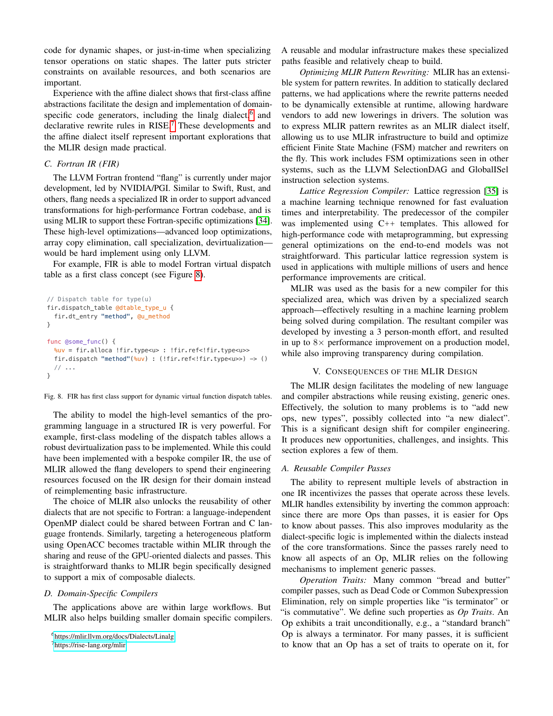code for dynamic shapes, or just-in-time when specializing tensor operations on static shapes. The latter puts stricter constraints on available resources, and both scenarios are important.

Experience with the affine dialect shows that first-class affine abstractions facilitate the design and implementation of domain-specific code generators, including the linalg dialect,<sup>[6](#page-7-1)</sup> and declarative rewrite rules in RISE.<sup>[7](#page-7-2)</sup> These developments and the affine dialect itself represent important explorations that the MLIR design made practical.

# *C. Fortran IR (FIR)*

The LLVM Fortran frontend "flang" is currently under major development, led by NVIDIA/PGI. Similar to Swift, Rust, and others, flang needs a specialized IR in order to support advanced transformations for high-performance Fortran codebase, and is using MLIR to support these Fortran-specific optimizations [\[34\]](#page-11-27). These high-level optimizations—advanced loop optimizations, array copy elimination, call specialization, devirtualization would be hard implement using only LLVM.

For example, FIR is able to model Fortran virtual dispatch table as a first class concept (see Figure [8\)](#page-7-3).

```
// Dispatch table for type(u)
fir.dispatch_table @dtable_type_u {
   fir.dt_entry "method", @u_method
}
func @some func() {
  %uv = fir.alloca !fir.type<u> : !fir.ref<!fir.type<u>>
  fir.dispatch "method"(%uv) : (!fir.ref<!fir.type<u>>) -> ()
   // ...
}
```
<span id="page-7-3"></span>Fig. 8. FIR has first class support for dynamic virtual function dispatch tables.

The ability to model the high-level semantics of the programming language in a structured IR is very powerful. For example, first-class modeling of the dispatch tables allows a robust devirtualization pass to be implemented. While this could have been implemented with a bespoke compiler IR, the use of MLIR allowed the flang developers to spend their engineering resources focused on the IR design for their domain instead of reimplementing basic infrastructure.

The choice of MLIR also unlocks the reusability of other dialects that are not specific to Fortran: a language-independent OpenMP dialect could be shared between Fortran and C language frontends. Similarly, targeting a heterogeneous platform using OpenACC becomes tractable within MLIR through the sharing and reuse of the GPU-oriented dialects and passes. This is straightforward thanks to MLIR begin specifically designed to support a mix of composable dialects.

## *D. Domain-Specific Compilers*

The applications above are within large workflows. But MLIR also helps building smaller domain specific compilers.

<span id="page-7-2"></span><sup>7</sup>[https://rise-lang.org/mlir.](https://rise-lang.org/mlir)

A reusable and modular infrastructure makes these specialized paths feasible and relatively cheap to build.

*Optimizing MLIR Pattern Rewriting:* MLIR has an extensible system for pattern rewrites. In addition to statically declared patterns, we had applications where the rewrite patterns needed to be dynamically extensible at runtime, allowing hardware vendors to add new lowerings in drivers. The solution was to express MLIR pattern rewrites as an MLIR dialect itself, allowing us to use MLIR infrastructure to build and optimize efficient Finite State Machine (FSM) matcher and rewriters on the fly. This work includes FSM optimizations seen in other systems, such as the LLVM SelectionDAG and GlobalISel instruction selection systems.

*Lattice Regression Compiler:* Lattice regression [\[35\]](#page-11-28) is a machine learning technique renowned for fast evaluation times and interpretability. The predecessor of the compiler was implemented using C++ templates. This allowed for high-performance code with metaprogramming, but expressing general optimizations on the end-to-end models was not straightforward. This particular lattice regression system is used in applications with multiple millions of users and hence performance improvements are critical.

MLIR was used as the basis for a new compiler for this specialized area, which was driven by a specialized search approach—effectively resulting in a machine learning problem being solved during compilation. The resultant compiler was developed by investing a 3 person-month effort, and resulted in up to  $8 \times$  performance improvement on a production model, while also improving transparency during compilation.

# V. CONSEQUENCES OF THE MLIR DESIGN

The MLIR design facilitates the modeling of new language and compiler abstractions while reusing existing, generic ones. Effectively, the solution to many problems is to "add new ops, new types", possibly collected into "a new dialect". This is a significant design shift for compiler engineering. It produces new opportunities, challenges, and insights. This section explores a few of them.

# <span id="page-7-0"></span>*A. Reusable Compiler Passes*

The ability to represent multiple levels of abstraction in one IR incentivizes the passes that operate across these levels. MLIR handles extensibility by inverting the common approach: since there are more Ops than passes, it is easier for Ops to know about passes. This also improves modularity as the dialect-specific logic is implemented within the dialects instead of the core transformations. Since the passes rarely need to know all aspects of an Op, MLIR relies on the following mechanisms to implement generic passes.

<span id="page-7-4"></span>*Operation Traits:* Many common "bread and butter" compiler passes, such as Dead Code or Common Subexpression Elimination, rely on simple properties like "is terminator" or "is commutative". We define such properties as *Op Traits*. An Op exhibits a trait unconditionally, e.g., a "standard branch" Op is always a terminator. For many passes, it is sufficient to know that an Op has a set of traits to operate on it, for

<span id="page-7-1"></span><sup>6</sup>[https://mlir.llvm.org/docs/Dialects/Linalg.](https://mlir.llvm.org/docs/Dialects/Linalg)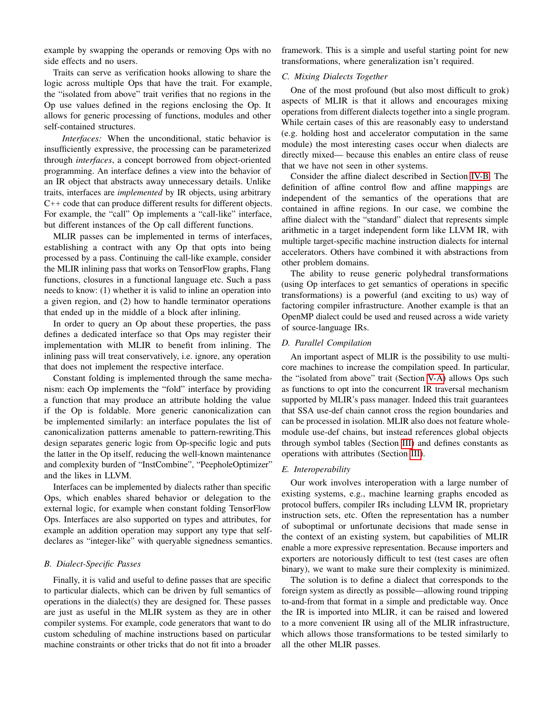example by swapping the operands or removing Ops with no side effects and no users.

Traits can serve as verification hooks allowing to share the logic across multiple Ops that have the trait. For example, the "isolated from above" trait verifies that no regions in the Op use values defined in the regions enclosing the Op. It allows for generic processing of functions, modules and other self-contained structures.

*Interfaces:* When the unconditional, static behavior is insufficiently expressive, the processing can be parameterized through *interfaces*, a concept borrowed from object-oriented programming. An interface defines a view into the behavior of an IR object that abstracts away unnecessary details. Unlike traits, interfaces are *implemented* by IR objects, using arbitrary C++ code that can produce different results for different objects. For example, the "call" Op implements a "call-like" interface, but different instances of the Op call different functions.

MLIR passes can be implemented in terms of interfaces, establishing a contract with any Op that opts into being processed by a pass. Continuing the call-like example, consider the MLIR inlining pass that works on TensorFlow graphs, Flang functions, closures in a functional language etc. Such a pass needs to know: (1) whether it is valid to inline an operation into a given region, and (2) how to handle terminator operations that ended up in the middle of a block after inlining.

In order to query an Op about these properties, the pass defines a dedicated interface so that Ops may register their implementation with MLIR to benefit from inlining. The inlining pass will treat conservatively, i.e. ignore, any operation that does not implement the respective interface.

Constant folding is implemented through the same mechanism: each Op implements the "fold" interface by providing a function that may produce an attribute holding the value if the Op is foldable. More generic canonicalization can be implemented similarly: an interface populates the list of canonicalization patterns amenable to pattern-rewriting.This design separates generic logic from Op-specific logic and puts the latter in the Op itself, reducing the well-known maintenance and complexity burden of "InstCombine", "PeepholeOptimizer" and the likes in LLVM.

Interfaces can be implemented by dialects rather than specific Ops, which enables shared behavior or delegation to the external logic, for example when constant folding TensorFlow Ops. Interfaces are also supported on types and attributes, for example an addition operation may support any type that selfdeclares as "integer-like" with queryable signedness semantics.

#### *B. Dialect-Specific Passes*

Finally, it is valid and useful to define passes that are specific to particular dialects, which can be driven by full semantics of operations in the dialect(s) they are designed for. These passes are just as useful in the MLIR system as they are in other compiler systems. For example, code generators that want to do custom scheduling of machine instructions based on particular machine constraints or other tricks that do not fit into a broader framework. This is a simple and useful starting point for new transformations, where generalization isn't required.

### *C. Mixing Dialects Together*

One of the most profound (but also most difficult to grok) aspects of MLIR is that it allows and encourages mixing operations from different dialects together into a single program. While certain cases of this are reasonably easy to understand (e.g. holding host and accelerator computation in the same module) the most interesting cases occur when dialects are directly mixed— because this enables an entire class of reuse that we have not seen in other systems.

Consider the affine dialect described in Section [IV-B.](#page-6-3) The definition of affine control flow and affine mappings are independent of the semantics of the operations that are contained in affine regions. In our case, we combine the affine dialect with the "standard" dialect that represents simple arithmetic in a target independent form like LLVM IR, with multiple target-specific machine instruction dialects for internal accelerators. Others have combined it with abstractions from other problem domains.

The ability to reuse generic polyhedral transformations (using Op interfaces to get semantics of operations in specific transformations) is a powerful (and exciting to us) way of factoring compiler infrastructure. Another example is that an OpenMP dialect could be used and reused across a wide variety of source-language IRs.

#### <span id="page-8-0"></span>*D. Parallel Compilation*

An important aspect of MLIR is the possibility to use multicore machines to increase the compilation speed. In particular, the "isolated from above" trait (Section [V-A\)](#page-7-4) allows Ops such as functions to opt into the concurrent IR traversal mechanism supported by MLIR's pass manager. Indeed this trait guarantees that SSA use-def chain cannot cross the region boundaries and can be processed in isolation. MLIR also does not feature wholemodule use-def chains, but instead references global objects through symbol tables (Section [III\)](#page-4-1) and defines constants as operations with attributes (Section [III\)](#page-3-3).

### *E. Interoperability*

Our work involves interoperation with a large number of existing systems, e.g., machine learning graphs encoded as protocol buffers, compiler IRs including LLVM IR, proprietary instruction sets, etc. Often the representation has a number of suboptimal or unfortunate decisions that made sense in the context of an existing system, but capabilities of MLIR enable a more expressive representation. Because importers and exporters are notoriously difficult to test (test cases are often binary), we want to make sure their complexity is minimized.

The solution is to define a dialect that corresponds to the foreign system as directly as possible—allowing round tripping to-and-from that format in a simple and predictable way. Once the IR is imported into MLIR, it can be raised and lowered to a more convenient IR using all of the MLIR infrastructure, which allows those transformations to be tested similarly to all the other MLIR passes.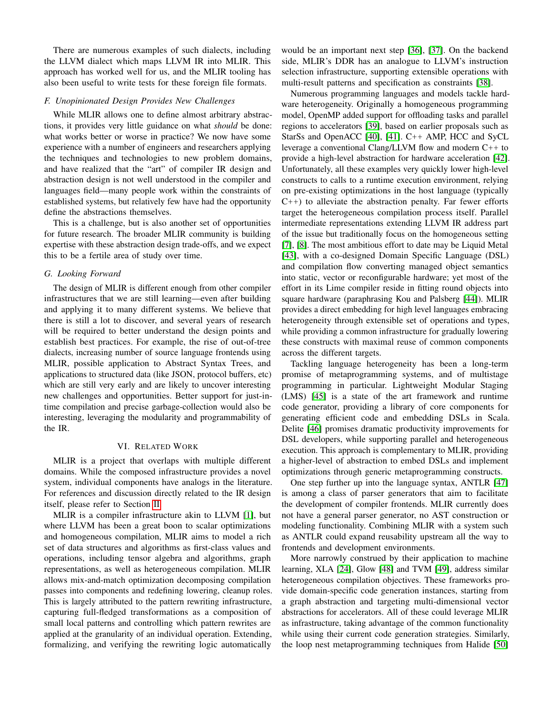There are numerous examples of such dialects, including the LLVM dialect which maps LLVM IR into MLIR. This approach has worked well for us, and the MLIR tooling has also been useful to write tests for these foreign file formats.

## *F. Unopinionated Design Provides New Challenges*

While MLIR allows one to define almost arbitrary abstractions, it provides very little guidance on what *should* be done: what works better or worse in practice? We now have some experience with a number of engineers and researchers applying the techniques and technologies to new problem domains, and have realized that the "art" of compiler IR design and abstraction design is not well understood in the compiler and languages field—many people work within the constraints of established systems, but relatively few have had the opportunity define the abstractions themselves.

This is a challenge, but is also another set of opportunities for future research. The broader MLIR community is building expertise with these abstraction design trade-offs, and we expect this to be a fertile area of study over time.

## *G. Looking Forward*

The design of MLIR is different enough from other compiler infrastructures that we are still learning—even after building and applying it to many different systems. We believe that there is still a lot to discover, and several years of research will be required to better understand the design points and establish best practices. For example, the rise of out-of-tree dialects, increasing number of source language frontends using MLIR, possible application to Abstract Syntax Trees, and applications to structured data (like JSON, protocol buffers, etc) which are still very early and are likely to uncover interesting new challenges and opportunities. Better support for just-intime compilation and precise garbage-collection would also be interesting, leveraging the modularity and programmability of the IR.

# VI. RELATED WORK

MLIR is a project that overlaps with multiple different domains. While the composed infrastructure provides a novel system, individual components have analogs in the literature. For references and discussion directly related to the IR design itself, please refer to Section [II.](#page-1-2)

MLIR is a compiler infrastructure akin to LLVM [\[1\]](#page-10-0), but where LLVM has been a great boon to scalar optimizations and homogeneous compilation, MLIR aims to model a rich set of data structures and algorithms as first-class values and operations, including tensor algebra and algorithms, graph representations, as well as heterogeneous compilation. MLIR allows mix-and-match optimization decomposing compilation passes into components and redefining lowering, cleanup roles. This is largely attributed to the pattern rewriting infrastructure, capturing full-fledged transformations as a composition of small local patterns and controlling which pattern rewrites are applied at the granularity of an individual operation. Extending, formalizing, and verifying the rewriting logic automatically

would be an important next step [\[36\]](#page-11-29), [\[37\]](#page-11-30). On the backend side, MLIR's DDR has an analogue to LLVM's instruction selection infrastructure, supporting extensible operations with multi-result patterns and specification as constraints [\[38\]](#page-11-31).

Numerous programming languages and models tackle hardware heterogeneity. Originally a homogeneous programming model, OpenMP added support for offloading tasks and parallel regions to accelerators [\[39\]](#page-11-32), based on earlier proposals such as StarSs and OpenACC [\[40\]](#page-11-33), [\[41\]](#page-11-34). C++ AMP, HCC and SyCL leverage a conventional Clang/LLVM flow and modern C++ to provide a high-level abstraction for hardware acceleration [\[42\]](#page-11-35). Unfortunately, all these examples very quickly lower high-level constructs to calls to a runtime execution environment, relying on pre-existing optimizations in the host language (typically  $C_{++}$ ) to alleviate the abstraction penalty. Far fewer efforts target the heterogeneous compilation process itself. Parallel intermediate representations extending LLVM IR address part of the issue but traditionally focus on the homogeneous setting [\[7\]](#page-11-0), [\[8\]](#page-11-1). The most ambitious effort to date may be Liquid Metal [\[43\]](#page-12-0), with a co-designed Domain Specific Language (DSL) and compilation flow converting managed object semantics into static, vector or reconfigurable hardware; yet most of the effort in its Lime compiler reside in fitting round objects into square hardware (paraphrasing Kou and Palsberg [\[44\]](#page-12-1)). MLIR provides a direct embedding for high level languages embracing heterogeneity through extensible set of operations and types, while providing a common infrastructure for gradually lowering these constructs with maximal reuse of common components across the different targets.

Tackling language heterogeneity has been a long-term promise of metaprogramming systems, and of multistage programming in particular. Lightweight Modular Staging (LMS) [\[45\]](#page-12-2) is a state of the art framework and runtime code generator, providing a library of core components for generating efficient code and embedding DSLs in Scala. Delite [\[46\]](#page-12-3) promises dramatic productivity improvements for DSL developers, while supporting parallel and heterogeneous execution. This approach is complementary to MLIR, providing a higher-level of abstraction to embed DSLs and implement optimizations through generic metaprogramming constructs.

One step further up into the language syntax, ANTLR [\[47\]](#page-12-4) is among a class of parser generators that aim to facilitate the development of compiler frontends. MLIR currently does not have a general parser generator, no AST construction or modeling functionality. Combining MLIR with a system such as ANTLR could expand reusability upstream all the way to frontends and development environments.

More narrowly construed by their application to machine learning, XLA [\[24\]](#page-11-17), Glow [\[48\]](#page-12-5) and TVM [\[49\]](#page-12-6), address similar heterogeneous compilation objectives. These frameworks provide domain-specific code generation instances, starting from a graph abstraction and targeting multi-dimensional vector abstractions for accelerators. All of these could leverage MLIR as infrastructure, taking advantage of the common functionality while using their current code generation strategies. Similarly, the loop nest metaprogramming techniques from Halide [\[50\]](#page-12-7)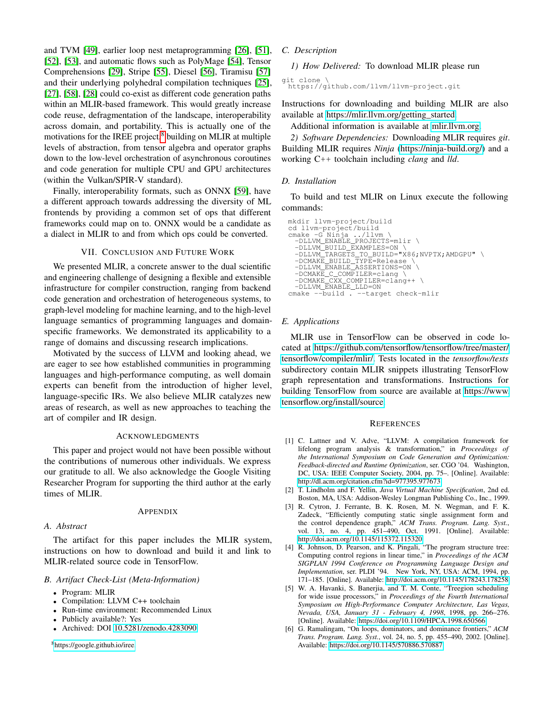and TVM [\[49\]](#page-12-6), earlier loop nest metaprogramming [\[26\]](#page-11-19), [\[51\]](#page-12-8), [\[52\]](#page-12-9), [\[53\]](#page-12-10), and automatic flows such as PolyMage [\[54\]](#page-12-11), Tensor Comprehensions [\[29\]](#page-11-22), Stripe [\[55\]](#page-12-12), Diesel [\[56\]](#page-12-13), Tiramisu [\[57\]](#page-12-14) and their underlying polyhedral compilation techniques [\[25\]](#page-11-18), [\[27\]](#page-11-20), [\[58\]](#page-12-15), [\[28\]](#page-11-21) could co-exist as different code generation paths within an MLIR-based framework. This would greatly increase code reuse, defragmentation of the landscape, interoperability across domain, and portability. This is actually one of the motivations for the IREE project,<sup>[8](#page-10-6)</sup> building on MLIR at multiple levels of abstraction, from tensor algebra and operator graphs down to the low-level orchestration of asynchronous coroutines and code generation for multiple CPU and GPU architectures (within the Vulkan/SPIR-V standard).

Finally, interoperability formats, such as ONNX [\[59\]](#page-12-16), have a different approach towards addressing the diversity of ML frontends by providing a common set of ops that different frameworks could map on to. ONNX would be a candidate as a dialect in MLIR to and from which ops could be converted.

### VII. CONCLUSION AND FUTURE WORK

We presented MLIR, a concrete answer to the dual scientific and engineering challenge of designing a flexible and extensible infrastructure for compiler construction, ranging from backend code generation and orchestration of heterogeneous systems, to graph-level modeling for machine learning, and to the high-level language semantics of programming languages and domainspecific frameworks. We demonstrated its applicability to a range of domains and discussing research implications.

Motivated by the success of LLVM and looking ahead, we are eager to see how established communities in programming languages and high-performance computing, as well domain experts can benefit from the introduction of higher level, language-specific IRs. We also believe MLIR catalyzes new areas of research, as well as new approaches to teaching the art of compiler and IR design.

## ACKNOWLEDGMENTS

This paper and project would not have been possible without the contributions of numerous other individuals. We express our gratitude to all. We also acknowledge the Google Visiting Researcher Program for supporting the third author at the early times of MLIR.

#### APPENDIX

## *A. Abstract*

The artifact for this paper includes the MLIR system, instructions on how to download and build it and link to MLIR-related source code in TensorFlow.

#### *B. Artifact Check-List (Meta-Information)*

- Program: MLIR
- Compilation: LLVM C++ toolchain
- Run-time environment: Recommended Linux
- Publicly available?: Yes
- Archived: DOI [10.5281/zenodo.4283090](https://zenodo.org/record/4283091)

<span id="page-10-6"></span><sup>8</sup>[https://google.github.io/iree.](https://google.github.io/iree)

# *C. Description*

*1) How Delivered:* To download MLIR please run

git clone \ https://github.com/llvm/llvm-project.git

Instructions for downloading and building MLIR are also available at [https://mlir.llvm.org/getting\\_started.](https://mlir.llvm.org/getting_started)

Additional information is available at [mlir.llvm.org.](mlir.llvm.org)

*2) Software Dependencies:* Downloading MLIR requires *git*. Building MLIR requires *Ninja* [\(https://ninja-build.org/\)](https://ninja-build.org/) and a working C++ toolchain including *clang* and *lld*.

#### *D. Installation*

To build and test MLIR on Linux execute the following commands:

```
mkdir llvm-project/build
 cd llvm-project/build
cmake -G Ninja ../llvm \
-DLLVM_ENABLE_PROJECTS=mlir \
     -DLLVM_BUILD_EXAMPLES=ON \<br>-DLLVM_TARGETS_TO_BUILD="X86;NVPTX;AMDGPU" \<br>-DCMAKE_BUILD_TYPE=Release \<br>-DLLVM_ENABLE_ASSERTIONS=ON \<br>-DCMAKE_C_COMPILER=clang++ \<br>-DCMAKE_CXX_COMPILER=clang++ \
 -DLLVM_ENABLE_LLD=ON<br>cmake --build . --target check-mlir
```
#### *E. Applications*

MLIR use in TensorFlow can be observed in code located at [https://github.com/tensorflow/tensorflow/tree/master/](https://github.com/tensorflow/tensorflow/tree/master/tensorflow/compiler/mlir/) [tensorflow/compiler/mlir/.](https://github.com/tensorflow/tensorflow/tree/master/tensorflow/compiler/mlir/) Tests located in the *tensorflow/tests* subdirectory contain MLIR snippets illustrating TensorFlow graph representation and transformations. Instructions for building TensorFlow from source are available at [https://www.](https://www.tensorflow.org/install/source) [tensorflow.org/install/source.](https://www.tensorflow.org/install/source)

#### **REFERENCES**

- <span id="page-10-0"></span>[1] C. Lattner and V. Adve, "LLVM: A compilation framework for lifelong program analysis & transformation," in *Proceedings of the International Symposium on Code Generation and Optimization: Feedback-directed and Runtime Optimization*, ser. CGO '04. Washington, DC, USA: IEEE Computer Society, 2004, pp. 75–. [Online]. Available: <http://dl.acm.org/citation.cfm?id=977395.977673>
- <span id="page-10-1"></span>[2] T. Lindholm and F. Yellin, *Java Virtual Machine Specification*, 2nd ed. Boston, MA, USA: Addison-Wesley Longman Publishing Co., Inc., 1999.
- <span id="page-10-2"></span>[3] R. Cytron, J. Ferrante, B. K. Rosen, M. N. Wegman, and F. K. Zadeck, "Efficiently computing static single assignment form and the control dependence graph," *ACM Trans. Program. Lang. Syst.*, vol. 13, no. 4, pp. 451–490, Oct. 1991. [Online]. Available: <http://doi.acm.org/10.1145/115372.115320>
- <span id="page-10-3"></span>[4] R. Johnson, D. Pearson, and K. Pingali, "The program structure tree: Computing control regions in linear time," in *Proceedings of the ACM SIGPLAN 1994 Conference on Programming Language Design and Implementation*, ser. PLDI '94. New York, NY, USA: ACM, 1994, pp. 171–185. [Online]. Available:<http://doi.acm.org/10.1145/178243.178258>
- <span id="page-10-4"></span>[5] W. A. Havanki, S. Banerjia, and T. M. Conte, "Treegion scheduling for wide issue processors," in *Proceedings of the Fourth International Symposium on High-Performance Computer Architecture, Las Vegas, Nevada, USA, January 31 - February 4, 1998*, 1998, pp. 266–276. [Online]. Available:<https://doi.org/10.1109/HPCA.1998.650566>
- <span id="page-10-5"></span>[6] G. Ramalingam, "On loops, dominators, and dominance frontiers," *ACM Trans. Program. Lang. Syst.*, vol. 24, no. 5, pp. 455–490, 2002. [Online]. Available:<https://doi.org/10.1145/570886.570887>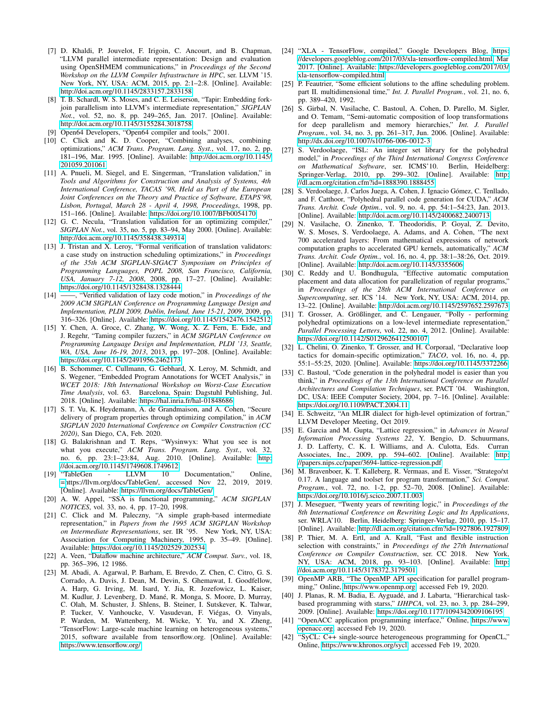- <span id="page-11-0"></span>[7] D. Khaldi, P. Jouvelot, F. Irigoin, C. Ancourt, and B. Chapman, "LLVM parallel intermediate representation: Design and evaluation using OpenSHMEM communications," in *Proceedings of the Second Workshop on the LLVM Compiler Infrastructure in HPC*, ser. LLVM '15. New York, NY, USA: ACM, 2015, pp. 2:1–2:8. [Online]. Available: <http://doi.acm.org/10.1145/2833157.2833158>
- <span id="page-11-1"></span>[8] T. B. Schardl, W. S. Moses, and C. E. Leiserson, "Tapir: Embedding forkjoin parallelism into LLVM's intermediate representation," *SIGPLAN Not.*, vol. 52, no. 8, pp. 249–265, Jan. 2017. [Online]. Available: <http://doi.acm.org/10.1145/3155284.3018758>
- <span id="page-11-2"></span>[9] Open64 Developers, "Open64 compiler and tools," 2001.
- <span id="page-11-3"></span>[10] C. Click and K. D. Cooper, "Combining analyses, combining optimizations," *ACM Trans. Program. Lang. Syst.*, vol. 17, no. 2, pp. 181–196, Mar. 1995. [Online]. Available: [http://doi.acm.org/10.1145/](http://doi.acm.org/10.1145/201059.201061) [201059.201061](http://doi.acm.org/10.1145/201059.201061)
- <span id="page-11-4"></span>[11] A. Pnueli, M. Siegel, and E. Singerman, "Translation validation," in *Tools and Algorithms for Construction and Analysis of Systems, 4th International Conference, TACAS '98, Held as Part of the European Joint Conferences on the Theory and Practice of Software, ETAPS'98, Lisbon, Portugal, March 28 - April 4, 1998, Proceedings*, 1998, pp. 151–166. [Online]. Available:<https://doi.org/10.1007/BFb0054170>
- <span id="page-11-5"></span>[12] G. C. Necula, "Translation validation for an optimizing compiler," *SIGPLAN Not.*, vol. 35, no. 5, pp. 83–94, May 2000. [Online]. Available: <http://doi.acm.org/10.1145/358438.349314>
- <span id="page-11-6"></span>[13] J. Tristan and X. Leroy, "Formal verification of translation validators: a case study on instruction scheduling optimizations," in *Proceedings of the 35th ACM SIGPLAN-SIGACT Symposium on Principles of Programming Languages, POPL 2008, San Francisco, California, USA, January 7-12, 2008*, 2008, pp. 17–27. [Online]. Available: <https://doi.org/10.1145/1328438.1328444>
- <span id="page-11-7"></span>[14] ——, "Verified validation of lazy code motion," in *Proceedings of the 2009 ACM SIGPLAN Conference on Programming Language Design and Implementation, PLDI 2009, Dublin, Ireland, June 15-21, 2009*, 2009, pp. 316–326. [Online]. Available:<https://doi.org/10.1145/1542476.1542512>
- <span id="page-11-8"></span>[15] Y. Chen, A. Groce, C. Zhang, W. Wong, X. Z. Fern, E. Eide, and J. Regehr, "Taming compiler fuzzers," in *ACM SIGPLAN Conference on Programming Language Design and Implementation, PLDI '13, Seattle, WA, USA, June 16-19, 2013*, 2013, pp. 197–208. [Online]. Available: <https://doi.org/10.1145/2491956.2462173>
- <span id="page-11-9"></span>[16] B. Schommer, C. Cullmann, G. Gebhard, X. Leroy, M. Schmidt, and S. Wegener, "Embedded Program Annotations for WCET Analysis," in *WCET 2018: 18th International Workshop on Worst-Case Execution Time Analysis*, vol. 63. Barcelona, Spain: Dagstuhl Publishing, Jul. 2018. [Online]. Available:<https://hal.inria.fr/hal-01848686>
- <span id="page-11-10"></span>[17] S. T. Vu, K. Heydemann, A. de Grandmaison, and A. Cohen, "Secure delivery of program properties through optimizing compilation," in *ACM SIGPLAN 2020 International Conference on Compiler Construction (CC 2020)*, San Diego, CA, Feb. 2020.
- <span id="page-11-11"></span>[18] G. Balakrishnan and T. Reps, "Wysinwyx: What you see is not what you execute," *ACM Trans. Program. Lang. Syst.*, vol. 32, no. 6, pp. 23:1–23:84, Aug. 2010. [Online]. Available: [http:](http://doi.acm.org/10.1145/1749608.1749612) [//doi.acm.org/10.1145/1749608.1749612](http://doi.acm.org/10.1145/1749608.1749612)
- <span id="page-11-12"></span>[19] "TableGen - LLVM 10 Documentation," Online, [=h](=)ttps://llvm.org/docs/TableGen/, accessed Nov 22, 2019, 2019. [Online]. Available:<https://llvm.org/docs/TableGen/>
- <span id="page-11-13"></span>[20] A. W. Appel, "SSA is functional programming," *ACM SIGPLAN NOTICES*, vol. 33, no. 4, pp. 17–20, 1998.
- <span id="page-11-14"></span>[21] C. Click and M. Paleczny, "A simple graph-based intermediate representation," in *Papers from the 1995 ACM SIGPLAN Workshop on Intermediate Representations*, ser. IR '95. New York, NY, USA: Association for Computing Machinery, 1995, p. 35–49. [Online]. Available:<https://doi.org/10.1145/202529.202534>
- <span id="page-11-15"></span>[22] A. Veen, "Dataflow machine architecture," *ACM Comput. Surv.*, vol. 18, pp. 365–396, 12 1986.
- <span id="page-11-16"></span>[23] M. Abadi, A. Agarwal, P. Barham, E. Brevdo, Z. Chen, C. Citro, G. S. Corrado, A. Davis, J. Dean, M. Devin, S. Ghemawat, I. Goodfellow, A. Harp, G. Irving, M. Isard, Y. Jia, R. Jozefowicz, L. Kaiser, M. Kudlur, J. Levenberg, D. Mané, R. Monga, S. Moore, D. Murray, C. Olah, M. Schuster, J. Shlens, B. Steiner, I. Sutskever, K. Talwar, P. Tucker, V. Vanhoucke, V. Vasudevan, F. Viégas, O. Vinyals, P. Warden, M. Wattenberg, M. Wicke, Y. Yu, and X. Zheng, "TensorFlow: Large-scale machine learning on heterogeneous systems," 2015, software available from tensorflow.org. [Online]. Available: <https://www.tensorflow.org/>
- <span id="page-11-17"></span>[24] "XLA - TensorFlow, compiled," Google Developers Blog, [https:](https://developers.googleblog.com/2017/03/xla-tensorflow-compiled.html) [//developers.googleblog.com/2017/03/xla-tensorflow-compiled.html,](https://developers.googleblog.com/2017/03/xla-tensorflow-compiled.html) Mar 2017. [Online]. Available: [https://developers.googleblog.com/2017/03/](https://developers.googleblog.com/2017/03/xla-tensorflow-compiled.html) [xla-tensorflow-compiled.html](https://developers.googleblog.com/2017/03/xla-tensorflow-compiled.html)
- <span id="page-11-18"></span>[25] P. Feautrier, "Some efficient solutions to the affine scheduling problem. part II. multidimensional time," *Int. J. Parallel Program.*, vol. 21, no. 6, pp. 389–420, 1992.
- <span id="page-11-19"></span>[26] S. Girbal, N. Vasilache, C. Bastoul, A. Cohen, D. Parello, M. Sigler, and O. Temam, "Semi-automatic composition of loop transformations for deep parallelism and memory hierarchies," *Int. J. Parallel Program.*, vol. 34, no. 3, pp. 261–317, Jun. 2006. [Online]. Available: <http://dx.doi.org/10.1007/s10766-006-0012-3>
- <span id="page-11-20"></span>[27] S. Verdoolaege, "ISL: An integer set library for the polyhedral model," in *Proceedings of the Third International Congress Conference on Mathematical Software*, ser. ICMS'10. Berlin, Heidelberg: Springer-Verlag, 2010, pp. 299–302. [Online]. Available: [http:](http://dl.acm.org/citation.cfm?id=1888390.1888455) [//dl.acm.org/citation.cfm?id=1888390.1888455](http://dl.acm.org/citation.cfm?id=1888390.1888455)
- <span id="page-11-21"></span>[28] S. Verdoolaege, J. Carlos Juega, A. Cohen, J. Ignacio Gómez, C. Tenllado, and F. Catthoor, "Polyhedral parallel code generation for CUDA," *ACM Trans. Archit. Code Optim.*, vol. 9, no. 4, pp. 54:1–54:23, Jan. 2013. [Online]. Available:<http://doi.acm.org/10.1145/2400682.2400713>
- <span id="page-11-22"></span>[29] N. Vasilache, O. Zinenko, T. Theodoridis, P. Goyal, Z. Devito, W. S. Moses, S. Verdoolaege, A. Adams, and A. Cohen, "The next 700 accelerated layers: From mathematical expressions of network computation graphs to accelerated GPU kernels, automatically," *ACM Trans. Archit. Code Optim.*, vol. 16, no. 4, pp. 38:1–38:26, Oct. 2019. [Online]. Available:<http://doi.acm.org/10.1145/3355606>
- <span id="page-11-23"></span>[30] C. Reddy and U. Bondhugula, "Effective automatic computation placement and data allocation for parallelization of regular programs," in *Proceedings of the 28th ACM International Conference on Supercomputing*, ser. ICS '14. New York, NY, USA: ACM, 2014, pp. 13–22. [Online]. Available:<http://doi.acm.org/10.1145/2597652.2597673>
- <span id="page-11-24"></span>[31] T. Grosser, A. Größlinger, and C. Lengauer, "Polly - performing polyhedral optimizations on a low-level intermediate representation, *Parallel Processing Letters*, vol. 22, no. 4, 2012. [Online]. Available: <https://doi.org/10.1142/S0129626412500107>
- <span id="page-11-25"></span>[32] L. Chelini, O. Zinenko, T. Grosser, and H. Corporaal, "Declarative loop tactics for domain-specific optimization," *TACO*, vol. 16, no. 4, pp. 55:1–55:25, 2020. [Online]. Available:<https://doi.org/10.1145/3372266>
- <span id="page-11-26"></span>[33] C. Bastoul, "Code generation in the polyhedral model is easier than you think," in *Proceedings of the 13th International Conference on Parallel Architectures and Compilation Techniques*, ser. PACT '04. Washington, DC, USA: IEEE Computer Society, 2004, pp. 7–16. [Online]. Available: <https://doi.org/10.1109/PACT.2004.11>
- <span id="page-11-27"></span>[34] E. Schweitz, "An MLIR dialect for high-level optimization of fortran," LLVM Developer Meeting, Oct 2019.
- <span id="page-11-28"></span>[35] E. Garcia and M. Gupta, "Lattice regression," in *Advances in Neural Information Processing Systems 22*, Y. Bengio, D. Schuurmans, J. D. Lafferty, C. K. I. Williams, and A. Culotta, Eds. Curran Associates, Inc., 2009, pp. 594–602. [Online]. Available: [http:](http://papers.nips.cc/paper/3694-lattice-regression.pdf) [//papers.nips.cc/paper/3694-lattice-regression.pdf](http://papers.nips.cc/paper/3694-lattice-regression.pdf)
- <span id="page-11-29"></span>[36] M. Bravenboer, K. T. Kalleberg, R. Vermaas, and E. Visser, "Stratego/xt 0.17. A language and toolset for program transformation," *Sci. Comput. Program.*, vol. 72, no. 1-2, pp. 52–70, 2008. [Online]. Available: <https://doi.org/10.1016/j.scico.2007.11.003>
- <span id="page-11-30"></span>[37] J. Meseguer, "Twenty years of rewriting logic," in *Proceedings of the 8th International Conference on Rewriting Logic and Its Applications*, ser. WRLA'10. Berlin, Heidelberg: Springer-Verlag, 2010, pp. 15–17. [Online]. Available:<http://dl.acm.org/citation.cfm?id=1927806.1927809>
- <span id="page-11-31"></span>[38] P. Thier, M. A. Ertl, and A. Krall, "Fast and flexible instruction selection with constraints," in *Proceedings of the 27th International Conference on Compiler Construction*, ser. CC 2018. New York, NY, USA: ACM, 2018, pp. 93–103. [Online]. Available: [http:](http://doi.acm.org/10.1145/3178372.3179501) [//doi.acm.org/10.1145/3178372.3179501](http://doi.acm.org/10.1145/3178372.3179501)
- <span id="page-11-32"></span>[39] OpenMP ARB, "The OpenMP API specification for parallel programming," Online, [https://www.openmp.org,](https://www.openmp.org) accessed Feb 19, 2020.
- <span id="page-11-33"></span>[40] J. Planas, R. M. Badia, E. Ayguadé, and J. Labarta, "Hierarchical taskbased programming with starss," *IJHPCA*, vol. 23, no. 3, pp. 284–299, 2009. [Online]. Available:<https://doi.org/10.1177/1094342009106195>
- <span id="page-11-34"></span>[41] "OpenACC application programming interface," Online, [https://www.](https://www.openacc.org) [openacc.org,](https://www.openacc.org) accessed Feb 19, 2020.
- <span id="page-11-35"></span>[42] "SyCL: C++ single-source heterogeneous programming for OpenCL," Online, [https://www.khronos.org/sycl,](https://www.khronos.org/sycl) accessed Feb 19, 2020.